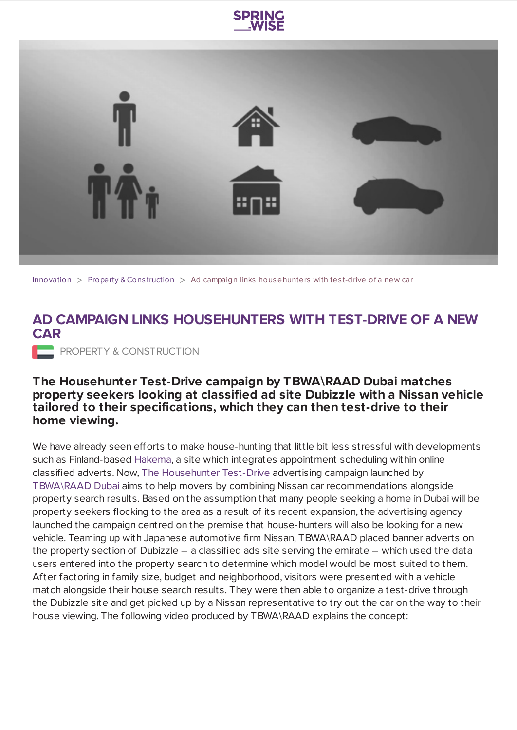



[Innovation](https://www.springwise.com/search?type=innovation)  $>$  [Property](https://www.springwise.com/search?type=innovation§or=property-and-construction) & Construction  $>$  Ad campaign links househunters with test-drive of a new car

## **AD CAMPAIGN LINKS HOUSEHUNTERS WITH TEST-DRIVE OF A NEW CAR**

**PROPERTY & CONSTRUCTION** 

## **The Househunter Test-Drive campaign by TBWA\RAAD Dubai matches property seekers looking at classified ad site Dubizzle with a Nissan vehicle tailored to their specifications, which they can then test-drive to their home viewing.**

We have already seen efforts to make house-hunting that little bit less stressful with developments such as Finland-based [Hakema](https://www.springwise.com/homes_housing/site-schedules-appointments-real-estate-buyers-sellers/), a site which integrates appointment scheduling within online classified adverts. Now, The [Househunter](http://www.tbwaraad.com/RegionalLocation.aspx?Id=1) Test-Drive advertising campaign launched by [TBWA\RAAD](http://www.tbwaraad.com/RegionalLocation.aspx?Id=1) Dubai aims to help movers by combining Nissan car recommendations alongside property search results. Based on the assumption that many people seeking a home in Dubai will be property seekers flocking to the area as a result of its recent expansion, the advertising agency launched the campaign centred on the premise that house-hunters will also be looking for a new vehicle. Teaming up with Japanese automotive firm Nissan, TBWA\RAAD placed banner adverts on the property section of Dubizzle – a classified ads site serving the emirate – which used the data users entered into the property search to determine which model would be most suited to them. After factoring in family size, budget and neighborhood, visitors were presented with a vehicle match alongside their house search results. They were then able to organize a test-drive through the Dubizzle site and get picked up by a Nissan representative to try out the car on the way to their house viewing. The following video produced by TBWA\RAAD explains the concept: